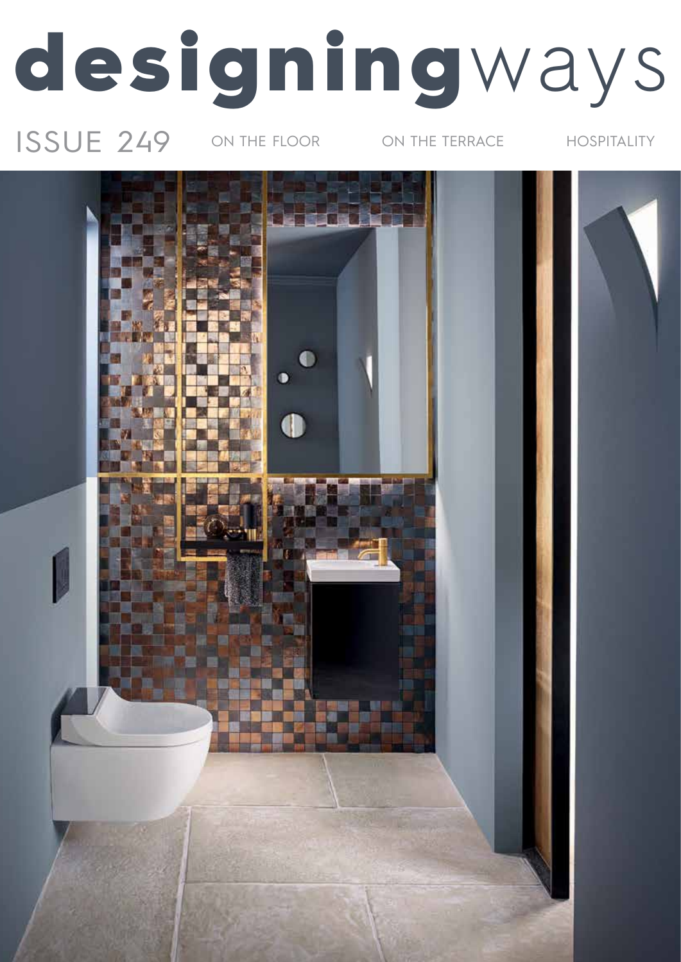# designingways

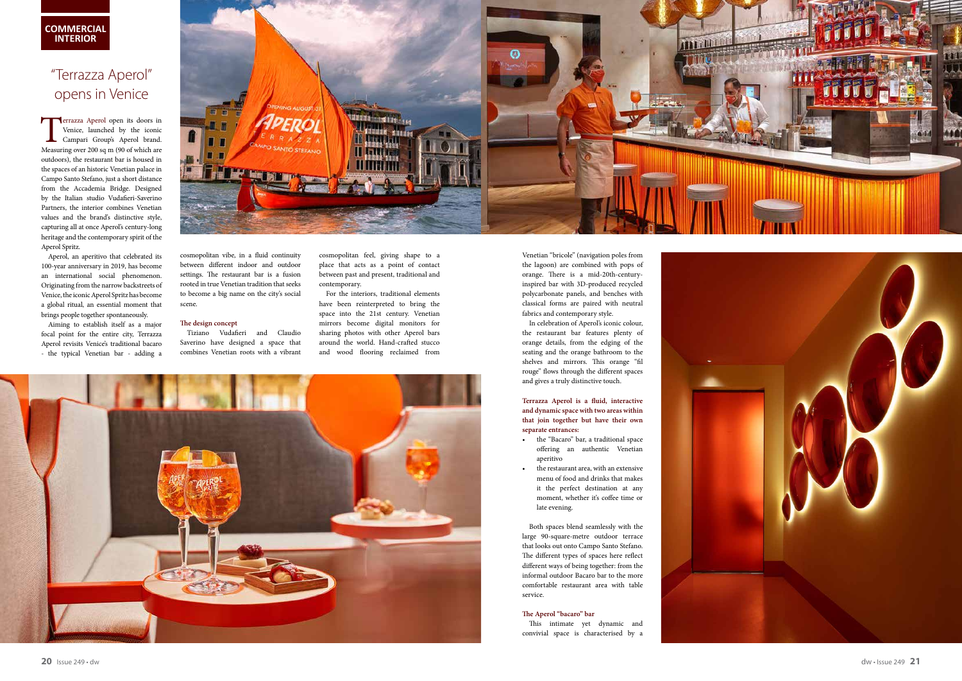

**Terrazza Aperol open its doors in** Venice, launched by the iconic Campari Group's Aperol brand. Measuring over 200 sq m (90 of which are outdoors), the restaurant bar is housed in the spaces of an historic Venetian palace in Campo Santo Stefano, just a short distance from the Accademia Bridge. Designed by the Italian studio Vudafieri-Saverino Partners, the interior combines Venetian values and the brand's distinctive style, capturing all at once Aperol's century-long heritage and the contemporary spirit of the Aperol Spritz.

Aperol, an aperitivo that celebrated its 100-year anniversary in 2019, has become an international social phenomenon. Originating from the narrow backstreets of Venice, the iconic Aperol Spritz has become a global ritual, an essential moment that brings people together spontaneously.

Aiming to establish itself as a major focal point for the entire city, Terrazza Aperol revisits Venice's traditional bacaro - the typical Venetian bar - adding a



cosmopolitan vibe, in a fluid continuity between different indoor and outdoor settings. The restaurant bar is a fusion rooted in true Venetian tradition that seeks to become a big name on the city's social scene.

#### **The design concept**

Tiziano Vudafieri and Claudio Saverino have designed a space that combines Venetian roots with a vibrant cosmopolitan feel, giving shape to a place that acts as a point of contact between past and present, traditional and contemporary.

For the interiors, traditional elements have been reinterpreted to bring the space into the 21st century. Venetian mirrors become digital monitors for sharing photos with other Aperol bars around the world. Hand-crafted stucco and wood flooring reclaimed from



Venetian "bricole" (navigation poles from the lagoon) are combined with pops of orange. There is a mid-20th-centuryinspired bar with 3D-produced recycled polycarbonate panels, and benches with classical forms are paired with neutral fabrics and contemporary style.

In celebration of Aperol's iconic colour, the restaurant bar features plenty of orange details, from the edging of the seating and the orange bathroom to the shelves and mirrors. This orange "fil rouge" flows through the different spaces and gives a truly distinctive touch.

**Terrazza Aperol is a fluid, interactive and dynamic space with two areas within that join together but have their own separate entrances:**

- the "Bacaro" bar, a traditional space offering an authentic Venetian aperitivo
- the restaurant area, with an extensive menu of food and drinks that makes it the perfect destination at any moment, whether it's coffee time or late evening.

Both spaces blend seamlessly with the large 90-square-metre outdoor terrace that looks out onto Campo Santo Stefano. The different types of spaces here reflect different ways of being together: from the informal outdoor Bacaro bar to the more comfortable restaurant area with table service.

#### **The Aperol "bacaro" bar**

This intimate yet dynamic and convivial space is characterised by a



### "Terrazza Aperol" opens in Venice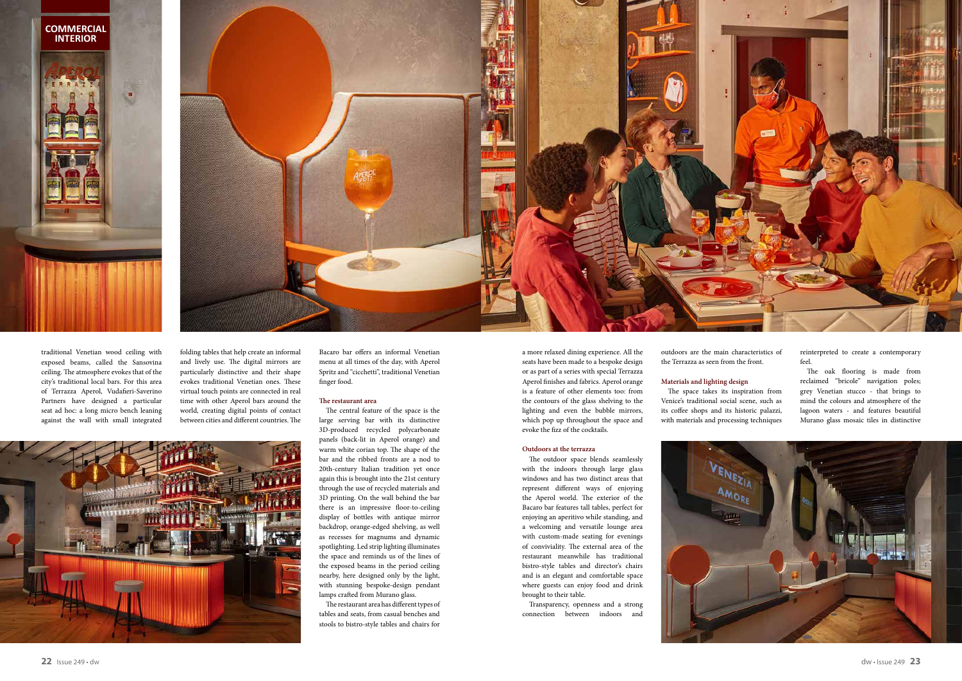

traditional Venetian wood ceiling with exposed beams, called the Sansovina ceiling. The atmosphere evokes that of the city's traditional local bars. For this area of Terrazza Aperol, Vudafieri-Saverino Partners have designed a particular seat ad hoc: a long micro bench leaning against the wall with small integrated folding tables that help create an informal and lively use. The digital mirrors are particularly distinctive and their shape evokes traditional Venetian ones. These virtual touch points are connected in real time with other Aperol bars around the world, creating digital points of contact between cities and different countries. The

Bacaro bar offers an informal Venetian menu at all times of the day, with Aperol Spritz and "cicchetti", traditional Venetian finger food.

#### **The restaurant area**

The central feature of the space is the large serving bar with its distinctive 3D-produced recycled polycarbonate panels (back-lit in Aperol orange) and warm white corian top. The shape of the bar and the ribbed fronts are a nod to 20th-century Italian tradition yet once again this is brought into the 21st century through the use of recycled materials and 3D printing. On the wall behind the bar there is an impressive floor-to-ceiling display of bottles with antique mirror backdrop, orange-edged shelving, as well as recesses for magnums and dynamic spotlighting. Led strip lighting illuminates the space and reminds us of the lines of the exposed beams in the period ceiling nearby, here designed only by the light, with stunning bespoke-design pendant lamps crafted from Murano glass.

The restaurant area has different types of tables and seats, from casual benches and stools to bistro-style tables and chairs for

a more relaxed dining experience. All the seats have been made to a bespoke design or as part of a series with special Terrazza Aperol finishes and fabrics. Aperol orange is a feature of other elements too: from the contours of the glass shelving to the lighting and even the bubble mirrors, which pop up throughout the space and evoke the fizz of the cocktails.

#### **Outdoors at the terrazza**

The outdoor space blends seamlessly with the indoors through large glass windows and has two distinct areas that represent different ways of enjoying the Aperol world. The exterior of the Bacaro bar features tall tables, perfect for enjoying an aperitivo while standing, and a welcoming and versatile lounge area with custom-made seating for evenings of conviviality. The external area of the restaurant meanwhile has traditional bistro-style tables and director's chairs and is an elegant and comfortable space where guests can enjoy food and drink brought to their table.

Transparency, openness and a strong connection between indoors and

outdoors are the main characteristics of the Terrazza as seen from the front.

#### **Materials and lighting design**

The space takes its inspiration from Venice's traditional social scene, such as its coffee shops and its historic palazzi, with materials and processing techniques



reinterpreted to create a contemporary feel.

The oak flooring is made from reclaimed "bricole" navigation poles; grey Venetian stucco - that brings to mind the colours and atmosphere of the lagoon waters - and features beautiful Murano glass mosaic tiles in distinctive